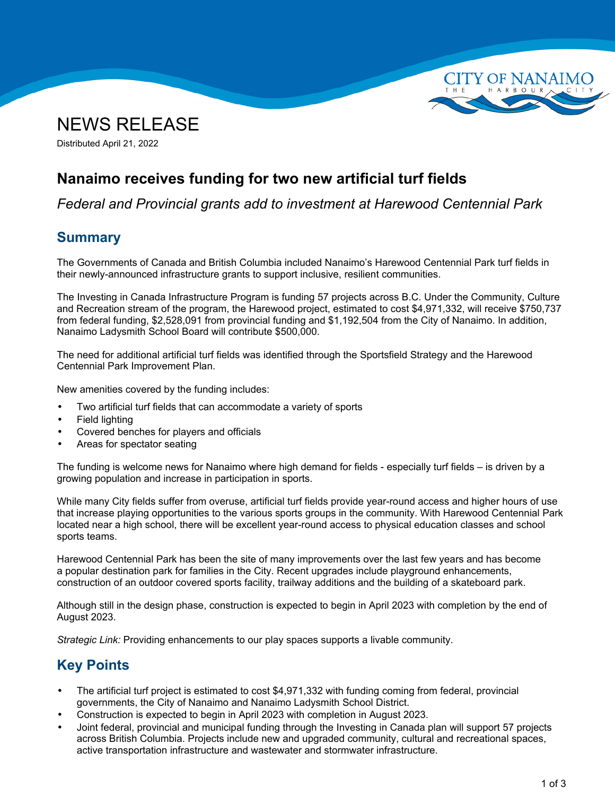



Distributed April 21, 2022

## **Nanaimo receives funding for two new artificial turf fields**

*Federal and Provincial grants add to investment at Harewood Centennial Park*

#### **Summary**

The Governments of Canada and British Columbia included Nanaimo's Harewood Centennial Park turf fields in their newly-announced infrastructure grants to support inclusive, resilient communities.

The Investing in Canada Infrastructure Program is funding 57 projects across B.C. Under the Community, Culture and Recreation stream of the program, the Harewood project, estimated to cost \$4,971,332, will receive \$750,737 from federal funding, \$2,528,091 from provincial funding and \$1,192,504 from the City of Nanaimo. In addition, Nanaimo Ladysmith School Board will contribute \$500,000.

The need for additional artificial turf fields was identified through the Sportsfield Strategy and the Harewood Centennial Park Improvement Plan.

New amenities covered by the funding includes:

- •Two artificial turf fields that can accommodate <sup>a</sup> variety of sports
- •Field lighting
- •Covered benches for players and officials
- •Areas for spectator seating

The funding is welcome news for Nanaimo where high demand for fields - especially turf fields – is driven by <sup>a</sup> growing population and increase in participation in sports.

While many City fields suffer from overuse, artificial turf fields provide year-round access and higher hours of use that increase playing opportunities to the various sports groups in the community. With Harewood Centennial Park located near <sup>a</sup> high school, there will be excellent year-round access to physical education classes and school sports teams.

Harewood Centennial Park has been the site of many improvements over the last few years and has become <sup>a</sup> popular destination park for families in the City. Recent upgrades include playground enhancements, construction of an outdoor covered sports facility, trailway additions and the building of <sup>a</sup> skateboard park.

Although still in the design phase, construction is expected to begin in April 2023 with completion by the end of August 2023.

*Strategic Link:* Providing enhancements to our play spaces supports <sup>a</sup> livable community.

# **Key Points**

- • The artificial turf project is estimated to cost \$4,971,332 with funding coming from federal, provincial governments, the City of Nanaimo and Nanaimo Ladysmith School District.
- •Construction is expected to begin in April 2023 with completion in August 2023.
- • Joint federal, provincial and municipal funding through the Investing in Canada plan will support 57 projects across British Columbia. Projects include new and upgraded community, cultural and recreational spaces, active transportation infrastructure and wastewater and stormwater infrastructure.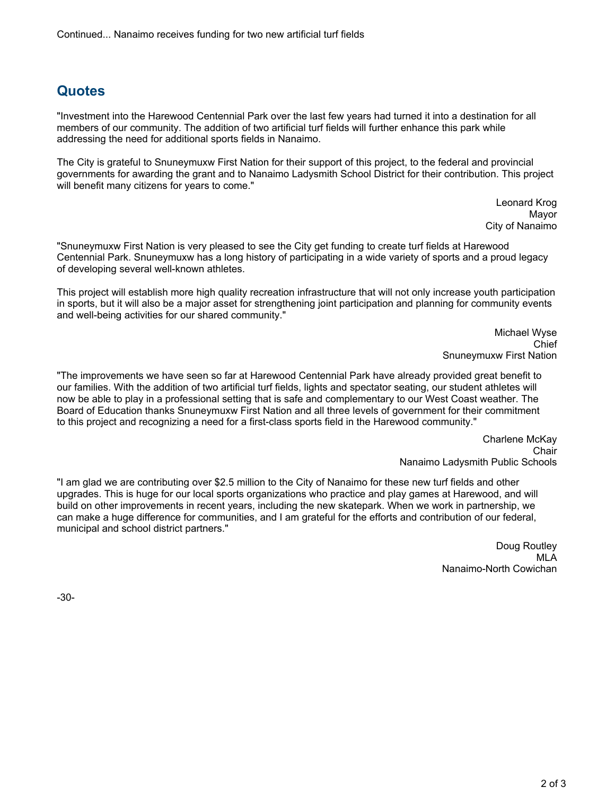### **Quotes**

"Investment into the Harewood Centennial Park over the last few years had turned it into <sup>a</sup> destination for all members of our community. The addition of two artificial turf fields will further enhance this park while addressing the need for additional sports fields in Nanaimo.

The City is grateful to Snuneymuxw First Nation for their support of this project, to the federal and provincial governments for awarding the grant and to Nanaimo Ladysmith School District for their contribution. This project will benefit many citizens for years to come."

> Leonard Krog Mayor City of Nanaimo

"Snuneymuxw First Nation is very pleased to see the City get funding to create turf fields at Harewood Centennial Park. Snuneymuxw has <sup>a</sup> long history of participating in <sup>a</sup> wide variety of sports and <sup>a</sup> proud legacy of developing several well-known athletes.

This project will establish more high quality recreation infrastructure that will not only increase youth participation in sports, but it will also be <sup>a</sup> major asset for strengthening joint participation and planning for community events and well-being activities for our shared community."

> Michael Wyse Chief Snuneymuxw First Nation

"The improvements we have seen so far at Harewood Centennial Park have already provided great benefit to our families. With the addition of two artificial turf fields, lights and spectator seating, our student athletes will now be able to play in <sup>a</sup> professional setting that is safe and complementary to our West Coast weather. The Board of Education thanks Snuneymuxw First Nation and all three levels of government for their commitment to this project and recognizing <sup>a</sup> need for <sup>a</sup> first-class sports field in the Harewood community."

> Charlene McKay Chair Nanaimo Ladysmith Public Schools

"I am glad we are contributing over \$2.5 million to the City of Nanaimo for these new turf fields and other upgrades. This is huge for our local sports organizations who practice and play games at Harewood, and will build on other improvements in recent years, including the new skatepark. When we work in partnership, we can make <sup>a</sup> huge difference for communities, and I am grateful for the efforts and contribution of our federal, municipal and school district partners."

> Doug Routley MLA Nanaimo-North Cowichan

-30-